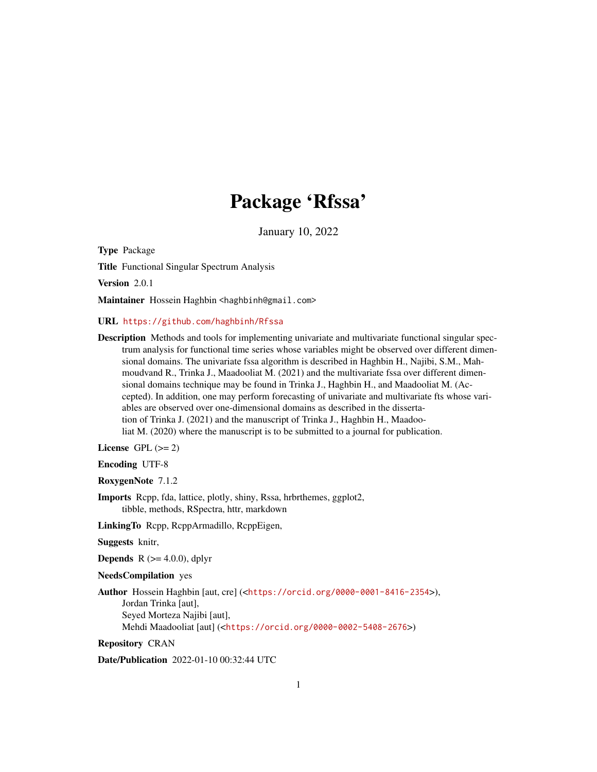# Package 'Rfssa'

January 10, 2022

Type Package

Title Functional Singular Spectrum Analysis

Version 2.0.1

Maintainer Hossein Haghbin <haghbinh@gmail.com>

URL <https://github.com/haghbinh/Rfssa>

Description Methods and tools for implementing univariate and multivariate functional singular spectrum analysis for functional time series whose variables might be observed over different dimensional domains. The univariate fssa algorithm is described in Haghbin H., Najibi, S.M., Mahmoudvand R., Trinka J., Maadooliat M. (2021) and the multivariate fssa over different dimensional domains technique may be found in Trinka J., Haghbin H., and Maadooliat M. (Accepted). In addition, one may perform forecasting of univariate and multivariate fts whose variables are observed over one-dimensional domains as described in the dissertation of Trinka J. (2021) and the manuscript of Trinka J., Haghbin H., Maadooliat M. (2020) where the manuscript is to be submitted to a journal for publication.

License GPL  $(>= 2)$ 

Encoding UTF-8

RoxygenNote 7.1.2

Imports Rcpp, fda, lattice, plotly, shiny, Rssa, hrbrthemes, ggplot2, tibble, methods, RSpectra, httr, markdown

LinkingTo Rcpp, RcppArmadillo, RcppEigen,

Suggests knitr,

**Depends** R  $(>= 4.0.0)$ , dplyr

NeedsCompilation yes

Author Hossein Haghbin [aut, cre] (<<https://orcid.org/0000-0001-8416-2354>>), Jordan Trinka [aut], Seyed Morteza Najibi [aut], Mehdi Maadooliat [aut] (<<https://orcid.org/0000-0002-5408-2676>>)

Repository CRAN

Date/Publication 2022-01-10 00:32:44 UTC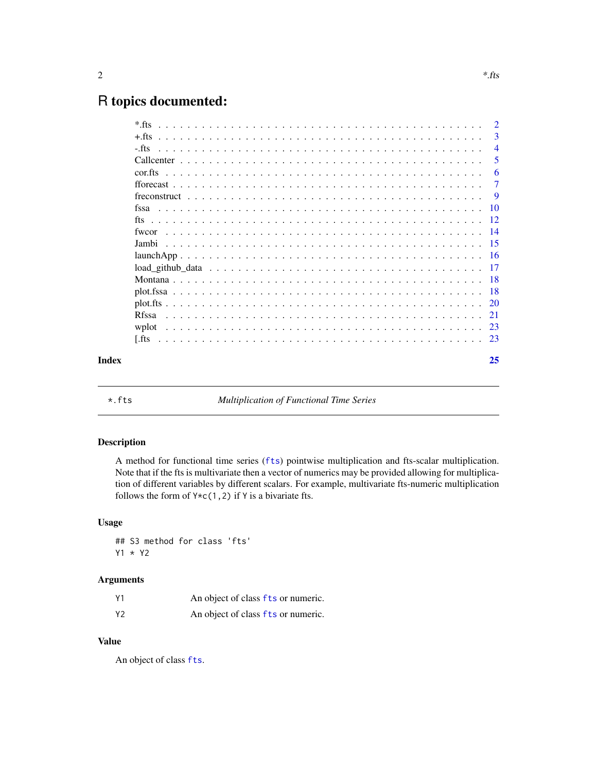# <span id="page-1-0"></span>R topics documented:

|       | $*$ fts       | $\overline{2}$ |
|-------|---------------|----------------|
|       | $+$ fts       | 3              |
|       | $-$ fts       | $\overline{4}$ |
|       |               | 5              |
|       |               | 6              |
|       |               | 7              |
|       |               | -9             |
|       |               | -10            |
|       |               |                |
|       | fwcor         |                |
|       | Jambi         |                |
|       |               |                |
|       |               |                |
|       |               |                |
|       |               |                |
|       |               |                |
|       | <b>R</b> fssa |                |
|       | wplot         |                |
|       | Lets I        |                |
| Index |               | 25             |
|       |               |                |

\*.fts *Multiplication of Functional Time Series*

# Description

A method for functional time series ([fts](#page-11-1)) pointwise multiplication and fts-scalar multiplication. Note that if the fts is multivariate then a vector of numerics may be provided allowing for multiplication of different variables by different scalars. For example, multivariate fts-numeric multiplication follows the form of  $Y \star c(1,2)$  if Y is a bivariate fts.

#### Usage

## S3 method for class 'fts' Y1 \* Y2

#### Arguments

| Υ1 | An object of class fts or numeric. |
|----|------------------------------------|
| Υ2 | An object of class fts or numeric. |

# Value

An object of class [fts](#page-11-1).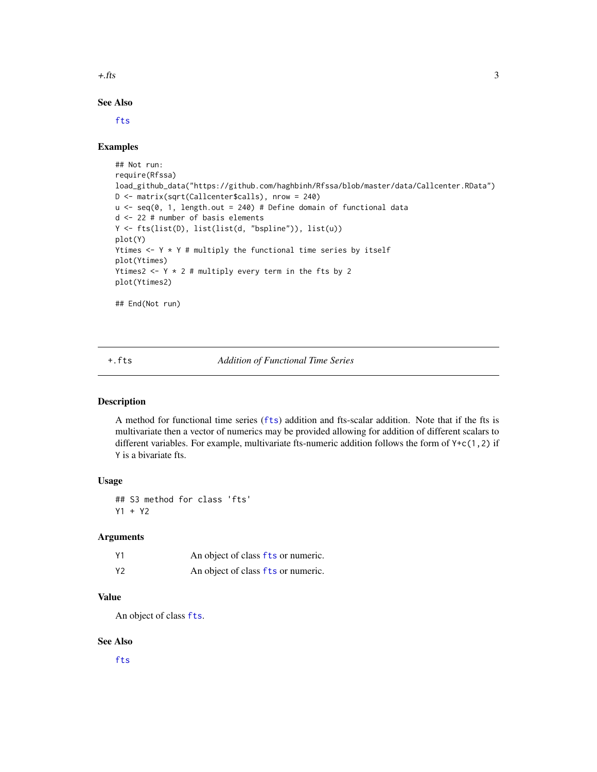<span id="page-2-0"></span> $+$ .fts  $\overline{\phantom{a}}$  3

# See Also

[fts](#page-11-1)

#### Examples

```
## Not run:
require(Rfssa)
load_github_data("https://github.com/haghbinh/Rfssa/blob/master/data/Callcenter.RData")
D <- matrix(sqrt(Callcenter$calls), nrow = 240)
u <- seq(0, 1, length.out = 240) # Define domain of functional data
d <- 22 # number of basis elements
Y <- fts(list(D), list(list(d, "bspline")), list(u))
plot(Y)
Ytimes \leftarrow Y * Y # multiply the functional time series by itself
plot(Ytimes)
Ytimes2 \leftarrow Y \star 2 # multiply every term in the fts by 2
plot(Ytimes2)
## End(Not run)
```
+.fts *Addition of Functional Time Series*

#### Description

A method for functional time series ([fts](#page-11-1)) addition and fts-scalar addition. Note that if the fts is multivariate then a vector of numerics may be provided allowing for addition of different scalars to different variables. For example, multivariate fts-numeric addition follows the form of Y+c(1,2) if Y is a bivariate fts.

#### Usage

## S3 method for class 'fts' Y1 + Y2

#### Arguments

| Υ1 | An object of class fts or numeric. |
|----|------------------------------------|
| Υ2 | An object of class fts or numeric. |

#### Value

An object of class [fts](#page-11-1).

#### See Also

[fts](#page-11-1)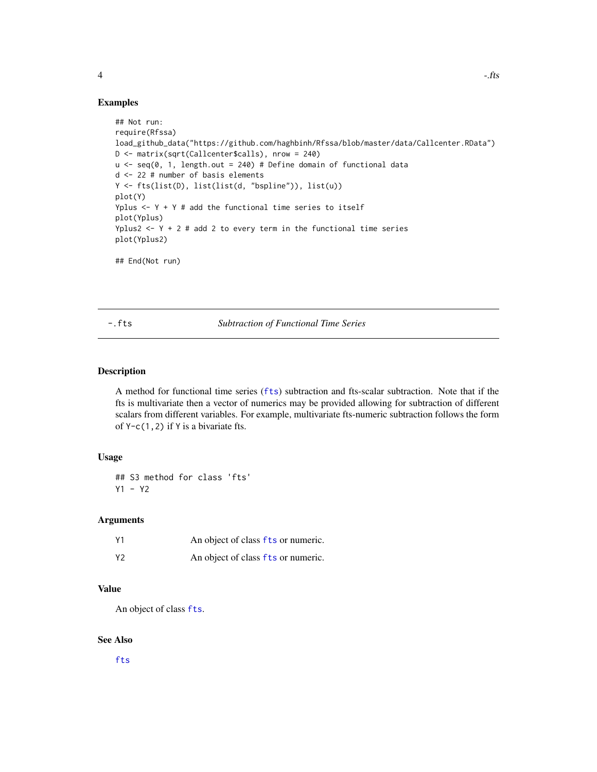#### <span id="page-3-0"></span>Examples

```
## Not run:
require(Rfssa)
load_github_data("https://github.com/haghbinh/Rfssa/blob/master/data/Callcenter.RData")
D <- matrix(sqrt(Callcenter$calls), nrow = 240)
u \leq - seq(0, 1, length.out = 240) # Define domain of functional data
d <- 22 # number of basis elements
Y <- fts(list(D), list(list(d, "bspline")), list(u))
plot(Y)
Yplus \leftarrow Y + Y # add the functional time series to itself
plot(Yplus)
Yplus2 \leq Y + 2 # add 2 to every term in the functional time series
plot(Yplus2)
## End(Not run)
```
-.fts *Subtraction of Functional Time Series*

# Description

A method for functional time series ([fts](#page-11-1)) subtraction and fts-scalar subtraction. Note that if the fts is multivariate then a vector of numerics may be provided allowing for subtraction of different scalars from different variables. For example, multivariate fts-numeric subtraction follows the form of  $Y-c(1,2)$  if Y is a bivariate fts.

#### Usage

## S3 method for class 'fts' Y1 - Y2

#### Arguments

| Υ1 | An object of class fts or numeric. |
|----|------------------------------------|
| Υ2 | An object of class fts or numeric. |

#### Value

An object of class [fts](#page-11-1).

## See Also

[fts](#page-11-1)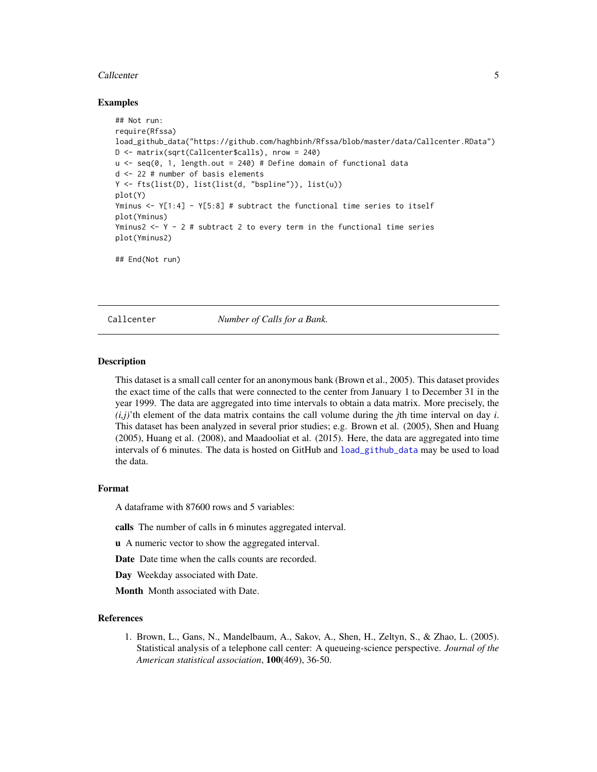#### <span id="page-4-0"></span>Callcenter 5

#### Examples

```
## Not run:
require(Rfssa)
load_github_data("https://github.com/haghbinh/Rfssa/blob/master/data/Callcenter.RData")
D <- matrix(sqrt(Callcenter$calls), nrow = 240)
u \leq - seq(0, 1, length.out = 240) # Define domain of functional data
d <- 22 # number of basis elements
Y <- fts(list(D), list(list(d, "bspline")), list(u))
plot(Y)
Yminus <- Y[1:4] - Y[5:8] # subtract the functional time series to itself
plot(Yminus)
Yminus2 \leq Y - 2 # subtract 2 to every term in the functional time series
plot(Yminus2)
## End(Not run)
```
<span id="page-4-1"></span>Callcenter *Number of Calls for a Bank.*

#### Description

This dataset is a small call center for an anonymous bank (Brown et al., 2005). This dataset provides the exact time of the calls that were connected to the center from January 1 to December 31 in the year 1999. The data are aggregated into time intervals to obtain a data matrix. More precisely, the  $(i,j)$ 'th element of the data matrix contains the call volume during the *j*th time interval on day *i*. This dataset has been analyzed in several prior studies; e.g. Brown et al. (2005), Shen and Huang (2005), Huang et al. (2008), and Maadooliat et al. (2015). Here, the data are aggregated into time intervals of 6 minutes. The data is hosted on GitHub and [load\\_github\\_data](#page-16-1) may be used to load the data.

#### Format

A dataframe with 87600 rows and 5 variables:

calls The number of calls in 6 minutes aggregated interval.

u A numeric vector to show the aggregated interval.

Date Date time when the calls counts are recorded.

Day Weekday associated with Date.

Month Month associated with Date.

#### References

1. Brown, L., Gans, N., Mandelbaum, A., Sakov, A., Shen, H., Zeltyn, S., & Zhao, L. (2005). Statistical analysis of a telephone call center: A queueing-science perspective. *Journal of the American statistical association*, 100(469), 36-50.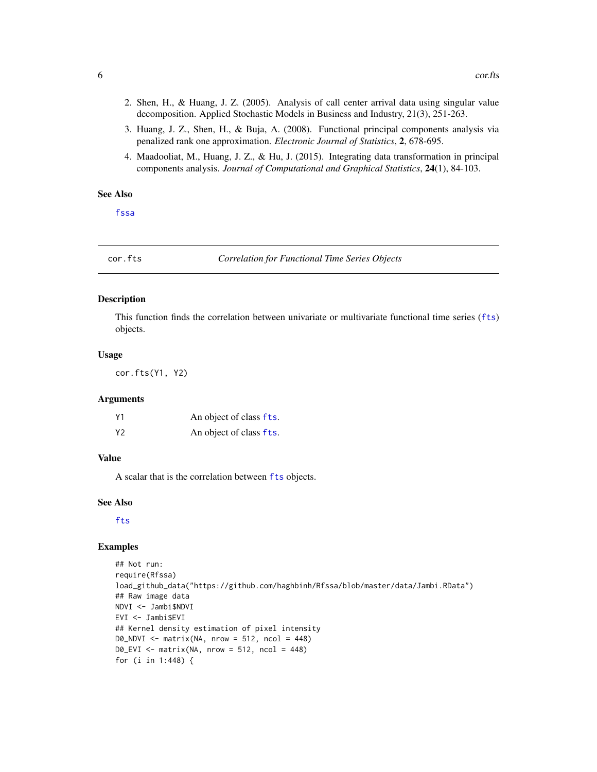- <span id="page-5-0"></span>2. Shen, H., & Huang, J. Z. (2005). Analysis of call center arrival data using singular value decomposition. Applied Stochastic Models in Business and Industry, 21(3), 251-263.
- 3. Huang, J. Z., Shen, H., & Buja, A. (2008). Functional principal components analysis via penalized rank one approximation. *Electronic Journal of Statistics*, 2, 678-695.
- 4. Maadooliat, M., Huang, J. Z., & Hu, J. (2015). Integrating data transformation in principal components analysis. *Journal of Computational and Graphical Statistics*, 24(1), 84-103.

# See Also

[fssa](#page-9-1)

<span id="page-5-1"></span>cor.fts *Correlation for Functional Time Series Objects*

#### Description

This function finds the correlation between univariate or multivariate functional time series ([fts](#page-11-1)) objects.

#### Usage

cor.fts(Y1, Y2)

#### Arguments

| Υ1 | An object of class fts. |
|----|-------------------------|
| Υ2 | An object of class fts. |

#### Value

A scalar that is the correlation between [fts](#page-11-1) objects.

#### See Also

[fts](#page-11-1)

#### Examples

```
## Not run:
require(Rfssa)
load_github_data("https://github.com/haghbinh/Rfssa/blob/master/data/Jambi.RData")
## Raw image data
NDVI <- Jambi$NDVI
EVI <- Jambi$EVI
## Kernel density estimation of pixel intensity
DØ_NDVI \leq -\text{matrix}(NA, nrow = 512, ncol = 448)DØ_EVI \leq - matrix(NA, nrow = 512, ncol = 448)
for (i in 1:448) {
```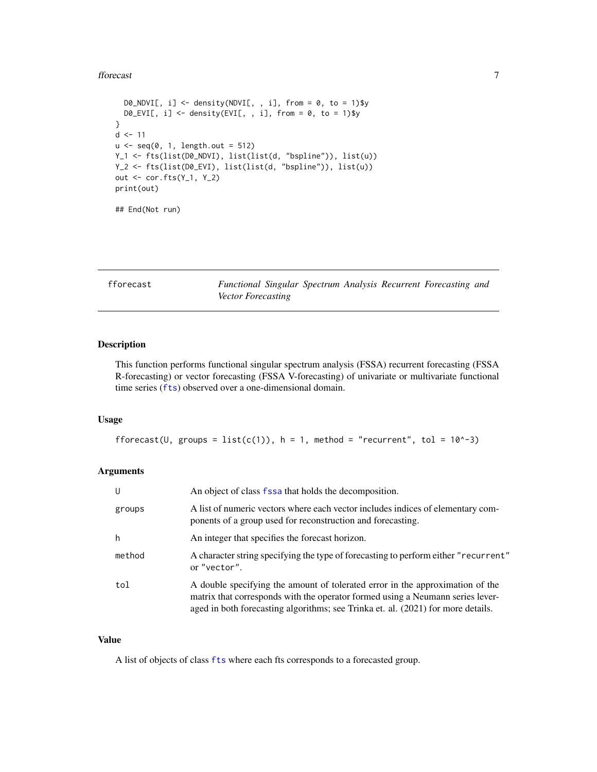#### <span id="page-6-0"></span>fforecast 7 and 2008 and 2008 and 2008 and 2008 and 2008 and 2008 and 2008 and 2008 and 2008 and 2008 and 2008 and 2008 and 2008 and 2008 and 2008 and 2008 and 2008 and 2008 and 2008 and 2008 and 2008 and 2008 and 2008 and

```
DØ_NDVI[, i] \leq - density(NDVI[, , i], from = 0, to = 1)$y
  DØ_EVI[, i] <- density(EVI[, , i], from = Ø, to = 1)$y
}
d \le -11u \leftarrow \text{seq}(0, 1, \text{length.out} = 512)Y_1 <- fts(list(D0_NDVI), list(list(d, "bspline")), list(u))
Y_2 <- fts(list(D0_EVI), list(list(d, "bspline")), list(u))
out <- cor.fts(Y_1, Y_2)
print(out)
```
## End(Not run)

<span id="page-6-1"></span>fforecast *Functional Singular Spectrum Analysis Recurrent Forecasting and Vector Forecasting*

# Description

This function performs functional singular spectrum analysis (FSSA) recurrent forecasting (FSSA R-forecasting) or vector forecasting (FSSA V-forecasting) of univariate or multivariate functional time series ([fts](#page-11-1)) observed over a one-dimensional domain.

### Usage

```
fforecast(U, groups = list(c(1)), h = 1, method = "recurrent", tol = 10^-3)
```
# Arguments

| U      | An object of class fssa that holds the decomposition.                                                                                                                                                                                               |
|--------|-----------------------------------------------------------------------------------------------------------------------------------------------------------------------------------------------------------------------------------------------------|
| groups | A list of numeric vectors where each vector includes indices of elementary com-<br>ponents of a group used for reconstruction and forecasting.                                                                                                      |
| h      | An integer that specifies the forecast horizon.                                                                                                                                                                                                     |
| method | A character string specifying the type of forecasting to perform either "recurrent"<br>or "vector".                                                                                                                                                 |
| tol    | A double specifying the amount of tolerated error in the approximation of the<br>matrix that corresponds with the operator formed using a Neumann series lever-<br>aged in both forecasting algorithms; see Trinka et. al. (2021) for more details. |

#### Value

A list of objects of class [fts](#page-11-1) where each fts corresponds to a forecasted group.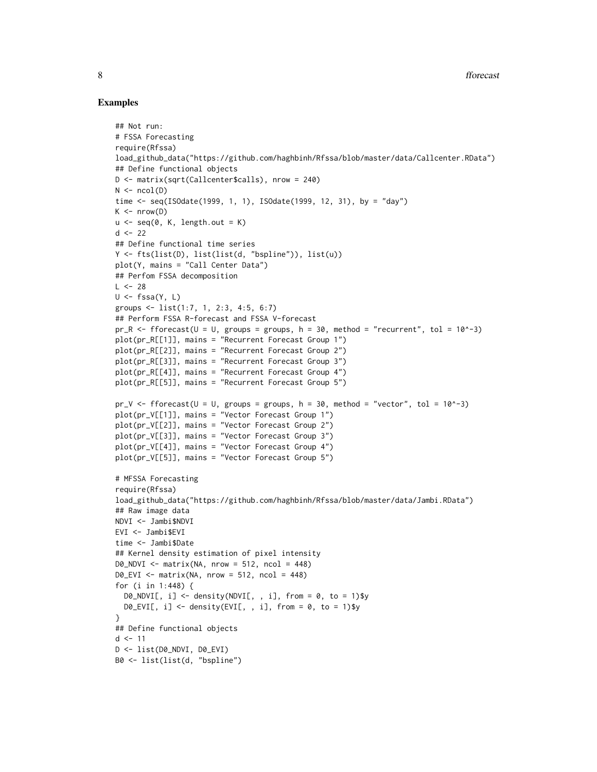#### Examples

```
## Not run:
# FSSA Forecasting
require(Rfssa)
load_github_data("https://github.com/haghbinh/Rfssa/blob/master/data/Callcenter.RData")
## Define functional objects
D <- matrix(sqrt(Callcenter$calls), nrow = 240)
N \leftarrow \text{ncol}(D)time <- seq(ISOdate(1999, 1, 1), ISOdate(1999, 12, 31), by = "day")
K \le - nrow(D)u \leq -\text{seq}(0, K, \text{length.out} = K)d \le -22## Define functional time series
Y <- fts(list(D), list(list(d, "bspline")), list(u))
plot(Y, mains = "Call Center Data")
## Perfom FSSA decomposition
L < -28U \leftarrow fssa(Y, L)groups <- list(1:7, 1, 2:3, 4:5, 6:7)
## Perform FSSA R-forecast and FSSA V-forecast
pr_R <- fforecast(U = U, groups = groups, h = 30, method = "recurrent", tol = 10^-3)
plot(pr_R[[1]], mains = "Recurrent Forecast Group 1")
plot(pr_R[[2]], mains = "Recurrent Forecast Group 2")
plot(pr_R[[3]], mains = "Recurrent Forecast Group 3")
plot(pr_R[[4]], mains = "Recurrent Forecast Group 4")
plot(pr_R[[5]], mains = "Recurrent Forecast Group 5")
pr_V <- fforecast(U = U, groups = groups, h = 30, method = "vector", tol = 10^x - 3)
plot(pr_V[[1]], mains = "Vector Forecast Group 1")
plot(pr_V[[2]], mains = "Vector Forecast Group 2")
plot(pr_V[[3]], mains = "Vector Forecast Group 3")
plot(pr_V[[4]], mains = "Vector Forecast Group 4")
plot(pr_V[[5]], mains = "Vector Forecast Group 5")
# MFSSA Forecasting
require(Rfssa)
load_github_data("https://github.com/haghbinh/Rfssa/blob/master/data/Jambi.RData")
## Raw image data
NDVI <- Jambi$NDVI
EVI <- Jambi$EVI
time <- Jambi$Date
## Kernel density estimation of pixel intensity
DØ_NDVI \leq maxrix(NA, nrow = 512, ncol = 448)DØ_EVI <- matrix(NA, nrow = 512, ncol = 448)
for (i in 1:448) {
  DØ_NDVI[, i] \leq - density(NDVI[, , i], from = 0, to = 1)$y
  DØ_EVI[, i] \leftarrow density(EVI[, , i], from = 0, to = 1)$y
}
## Define functional objects
d \le -11D <- list(D0_NDVI, D0_EVI)
B0 <- list(list(d, "bspline")
```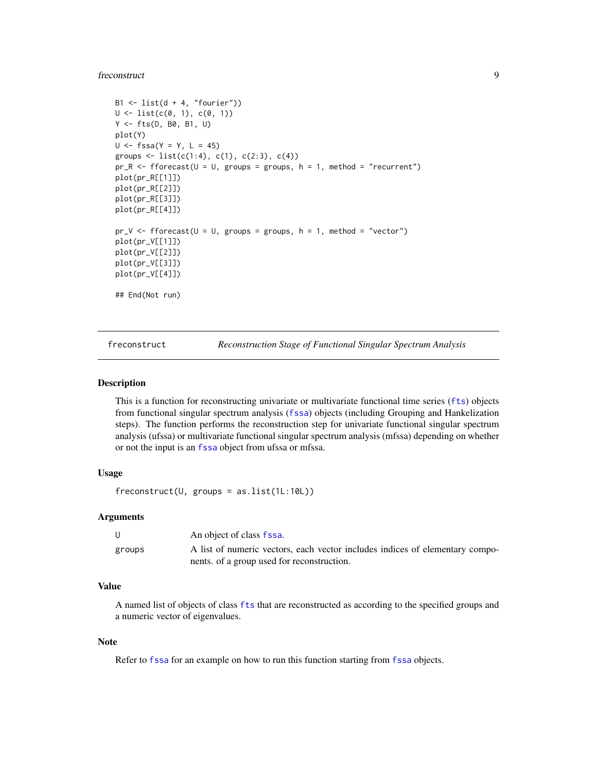#### <span id="page-8-0"></span>freconstruct 9

```
B1 \leftarrow list(d + 4, "fourier"))
U \leftarrow \text{list}(c(0, 1), c(0, 1))Y <- fts(D, B0, B1, U)
plot(Y)
U \le - fssa(Y = Y, L = 45)
groups \le list(c(1:4), c(1), c(2:3), c(4))
pr_R < - fforecast(U = U, groups = groups, h = 1, method = "recurrent")
plot(pr_R[[1]])
plot(pr_R[[2]])
plot(pr_R[[3]])
plot(pr_R[[4]])
pr_V \leftarrow fforecast(U = U, groups = groups, h = 1, method = "vector")plot(pr_V[[1]])
plot(pr_V[[2]])
plot(pr_V[[3]])
plot(pr_V[[4]])
## End(Not run)
```
<span id="page-8-1"></span>freconstruct *Reconstruction Stage of Functional Singular Spectrum Analysis*

#### Description

This is a function for reconstructing univariate or multivariate functional time series ([fts](#page-11-1)) objects from functional singular spectrum analysis ([fssa](#page-9-1)) objects (including Grouping and Hankelization steps). The function performs the reconstruction step for univariate functional singular spectrum analysis (ufssa) or multivariate functional singular spectrum analysis (mfssa) depending on whether or not the input is an [fssa](#page-9-1) object from ufssa or mfssa.

#### Usage

 $f$ reconstruct(U, groups = as.list(1L:10L))

#### Arguments

|        | An object of class fssa.                                                     |
|--------|------------------------------------------------------------------------------|
| groups | A list of numeric vectors, each vector includes indices of elementary compo- |
|        | nents. of a group used for reconstruction.                                   |

#### Value

A named list of objects of class [fts](#page-11-1) that are reconstructed as according to the specified groups and a numeric vector of eigenvalues.

#### Note

Refer to [fssa](#page-9-1) for an example on how to run this function starting from [fssa](#page-9-1) objects.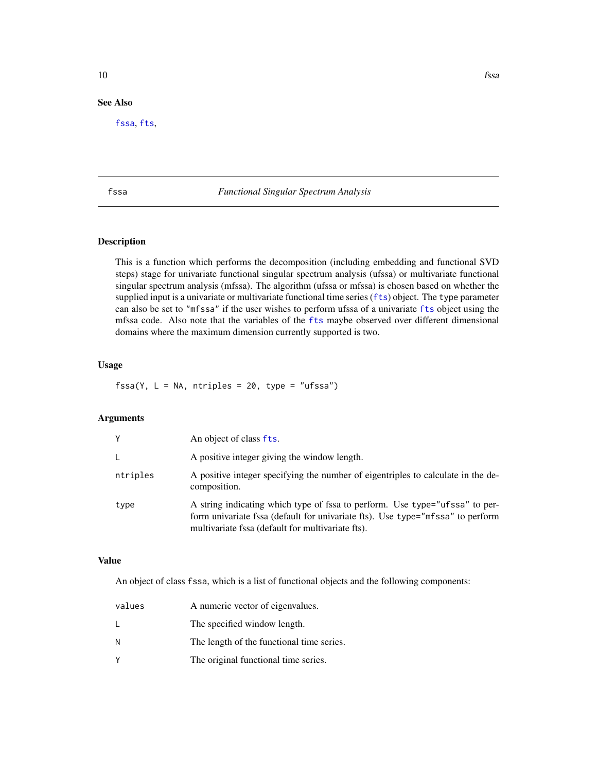# <span id="page-9-0"></span>See Also

[fssa](#page-9-1), [fts](#page-11-1),

#### <span id="page-9-1"></span>fssa *Functional Singular Spectrum Analysis*

# Description

This is a function which performs the decomposition (including embedding and functional SVD steps) stage for univariate functional singular spectrum analysis (ufssa) or multivariate functional singular spectrum analysis (mfssa). The algorithm (ufssa or mfssa) is chosen based on whether the supplied input is a univariate or multivariate functional time series ([fts](#page-11-1)) object. The type parameter can also be set to "mfssa" if the user wishes to perform ufssa of a univariate [fts](#page-11-1) object using the mfssa code. Also note that the variables of the [fts](#page-11-1) maybe observed over different dimensional domains where the maximum dimension currently supported is two.

#### Usage

 $fssa(Y, L = NA, ntriples = 20, type = "ufssa")$ 

# Arguments

| Y        | An object of class fts.                                                                                                                                                                                            |
|----------|--------------------------------------------------------------------------------------------------------------------------------------------------------------------------------------------------------------------|
| L.       | A positive integer giving the window length.                                                                                                                                                                       |
| ntriples | A positive integer specifying the number of eigentriples to calculate in the de-<br>composition.                                                                                                                   |
| type     | A string indicating which type of fssa to perform. Use type="ufssa" to per-<br>form univariate fssa (default for univariate fts). Use type="mfssa" to perform<br>multivariate fssa (default for multivariate fts). |

#### Value

An object of class fssa, which is a list of functional objects and the following components:

| values | A numeric vector of eigenvalues.          |
|--------|-------------------------------------------|
| L      | The specified window length.              |
| N      | The length of the functional time series. |
| V      | The original functional time series.      |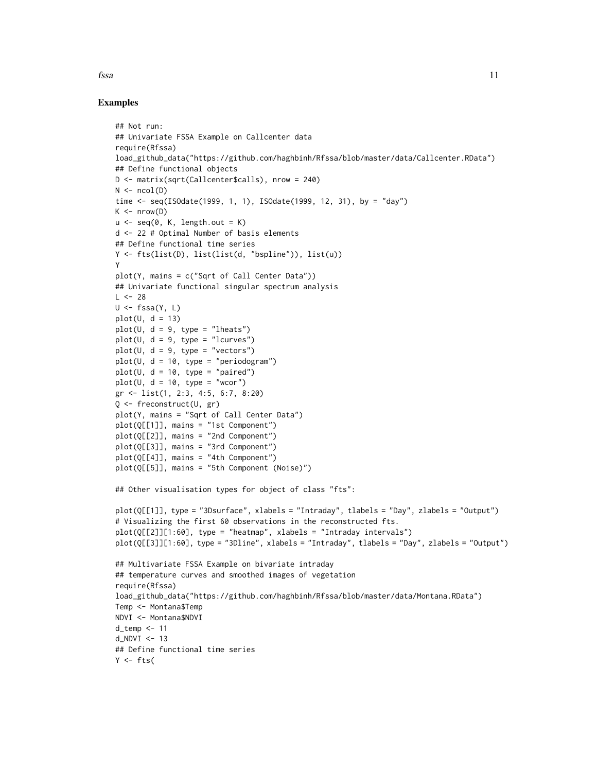#### Examples

```
## Not run:
## Univariate FSSA Example on Callcenter data
require(Rfssa)
load_github_data("https://github.com/haghbinh/Rfssa/blob/master/data/Callcenter.RData")
## Define functional objects
D <- matrix(sqrt(Callcenter$calls), nrow = 240)
N \leftarrow \text{ncol}(D)time <- seq(ISOdate(1999, 1, 1), ISOdate(1999, 12, 31), by = "day")
K \leq -nrow(D)u \leq -\text{seq}(0, K, \text{length.out} = K)d <- 22 # Optimal Number of basis elements
## Define functional time series
Y <- fts(list(D), list(list(d, "bspline")), list(u))
Y
plot(Y, mains = c("Sqrt of Call Center Data"))
## Univariate functional singular spectrum analysis
L < -28U \leftarrow fssa(Y, L)plot(U, d = 13)plot(U, d = 9, type = "lheats")plot(U, d = 9, type = "lcurves")plot(U, d = 9, type = "vectors")plot(U, d = 10, type = "periodogram")plot(U, d = 10, type = "paired")plot(U, d = 10, type = "wcor")gr <- list(1, 2:3, 4:5, 6:7, 8:20)
Q <- freconstruct(U, gr)
plot(Y, mains = "Sqrt of Call Center Data")
plot(Q[[1]], mains = "1st Component")
plot(Q[[2]], mains = "2nd Component")
plot(Q[[3]], mains = "3rd Component")
plot(Q[[4]], mains = "4th Component")
plot(Q[[5]], mains = "5th Component (Noise)")
## Other visualisation types for object of class "fts":
plot(Q[[1]], type = "3Dsurface", xlabels = "Intraday", tlabels = "Day", zlabels = "Output")
# Visualizing the first 60 observations in the reconstructed fts.
plot(Q[[2]][1:60], type = "heatmap", xlabels = "Intraday intervals")plot(Q[[3]][1:60], type = "3Dline", xlabels = "Intraday", tlabels = "Day", zlabels = "Output")
## Multivariate FSSA Example on bivariate intraday
## temperature curves and smoothed images of vegetation
require(Rfssa)
load_github_data("https://github.com/haghbinh/Rfssa/blob/master/data/Montana.RData")
Temp <- Montana$Temp
NDVI <- Montana$NDVI
d_temp <- 11
d NDVI <- 13## Define functional time series
Y \leftarrow fts(
```
fssa and the state of the state of the state of the state of the state of the state of the state of the state of the state of the state of the state of the state of the state of the state of the state of the state of the s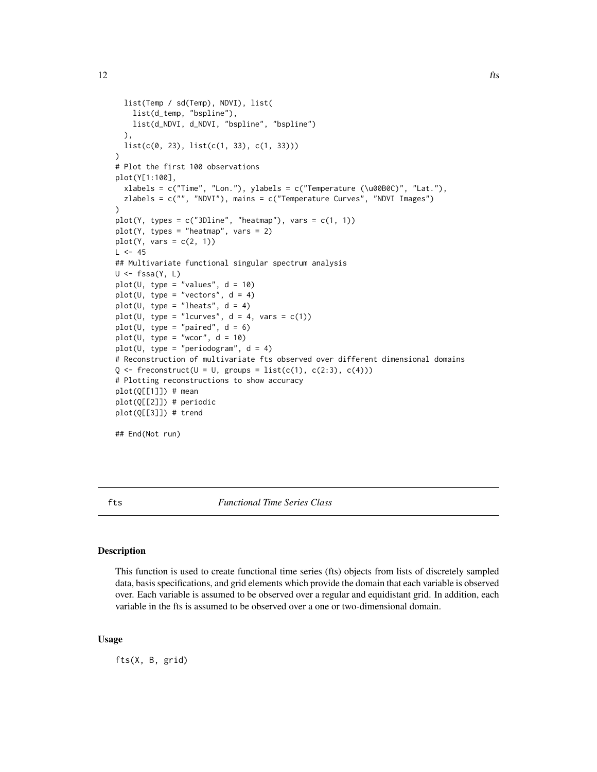```
list(Temp / sd(Temp), NDVI), list(
   list(d_temp, "bspline"),
   list(d_NDVI, d_NDVI, "bspline", "bspline")
  ),
  list(c(0, 23), list(c(1, 33), c(1, 33)))
)
# Plot the first 100 observations
plot(Y[1:100],
  xlabels = c("Time", "Lon."), ylabels = c("Temperature (\u00B0C)", "Lat."),
  zlabels = c("", "NDVI"), mains = c("Temperature Curves", "NDVI Images")
)
plot(Y, types = c("3Dline", "heatmap"), vars = <math>c(1, 1)</math>)plot(Y, types = "heatmap", vars = 2)plot(Y, vars = c(2, 1))L < -45## Multivariate functional singular spectrum analysis
U \leftarrow fssa(Y, L)plot(U, type = "values", d = 10)plot(U, type = "vectors", d = 4)plot(U, type = "lheats", d = 4)
plot(U, type = "lcurves", d = 4, vars = c(1))
plot(U, type = "paired", d = 6)
plot(U, type = "wcor", d = 10)
plot(U, type = "periodogram", d = 4)
# Reconstruction of multivariate fts observed over different dimensional domains
Q \leftarrow freconstruct(U = U, groups = list(c(1), c(2:3), c(4)))
# Plotting reconstructions to show accuracy
plot(Q[[1]]) # mean
plot(Q[[2]]) # periodic
plot(Q[[3]]) # trend
## End(Not run)
```
<span id="page-11-1"></span>

fts *Functional Time Series Class*

#### Description

This function is used to create functional time series (fts) objects from lists of discretely sampled data, basis specifications, and grid elements which provide the domain that each variable is observed over. Each variable is assumed to be observed over a regular and equidistant grid. In addition, each variable in the fts is assumed to be observed over a one or two-dimensional domain.

#### Usage

fts(X, B, grid)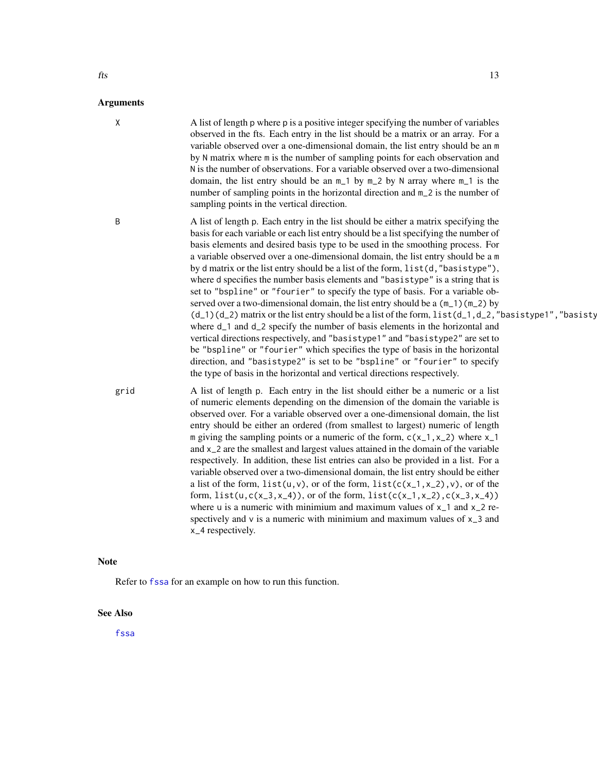# <span id="page-12-0"></span>Arguments X A list of length p where p is a positive integer specifying the number of variables observed in the fts. Each entry in the list should be a matrix or an array. For a variable observed over a one-dimensional domain, the list entry should be an m by N matrix where m is the number of sampling points for each observation and N is the number of observations. For a variable observed over a two-dimensional domain, the list entry should be an m\_1 by m\_2 by N array where m\_1 is the number of sampling points in the horizontal direction and m\_2 is the number of sampling points in the vertical direction. B A list of length p. Each entry in the list should be either a matrix specifying the basis for each variable or each list entry should be a list specifying the number of basis elements and desired basis type to be used in the smoothing process. For a variable observed over a one-dimensional domain, the list entry should be a m by d matrix or the list entry should be a list of the form, list(d,"basistype"), where d specifies the number basis elements and "basistype" is a string that is set to "bspline" or "fourier" to specify the type of basis. For a variable observed over a two-dimensional domain, the list entry should be a  $(m_1)(m_2)$  by  $(d_1)(d_2)$  matrix or the list entry should be a list of the form, list $(d_1, d_2,$  "basistype1", "basisty where d\_1 and d\_2 specify the number of basis elements in the horizontal and vertical directions respectively, and "basistype1" and "basistype2" are set to be "bspline" or "fourier" which specifies the type of basis in the horizontal direction, and "basistype2" is set to be "bspline" or "fourier" to specify the type of basis in the horizontal and vertical directions respectively. grid A list of length p. Each entry in the list should either be a numeric or a list of numeric elements depending on the dimension of the domain the variable is observed over. For a variable observed over a one-dimensional domain, the list entry should be either an ordered (from smallest to largest) numeric of length m giving the sampling points or a numeric of the form,  $c(x_1, x_2)$  where x<sub>-1</sub> and x\_2 are the smallest and largest values attained in the domain of the variable respectively. In addition, these list entries can also be provided in a list. For a variable observed over a two-dimensional domain, the list entry should be either a list of the form,  $list(u, v)$ , or of the form,  $list(c(x_1, x_2), v)$ , or of the

form,  $list(u, c(x_3, x_4))$ , or of the form,  $list(c(x_1, x_2), c(x_3, x_4))$ where u is a numeric with minimium and maximum values of  $x_1$  and  $x_2$  respectively and  $v$  is a numeric with minimium and maximum values of  $x_3$  and x\_4 respectively.

#### **Note**

Refer to [fssa](#page-9-1) for an example on how to run this function.

#### See Also

[fssa](#page-9-1)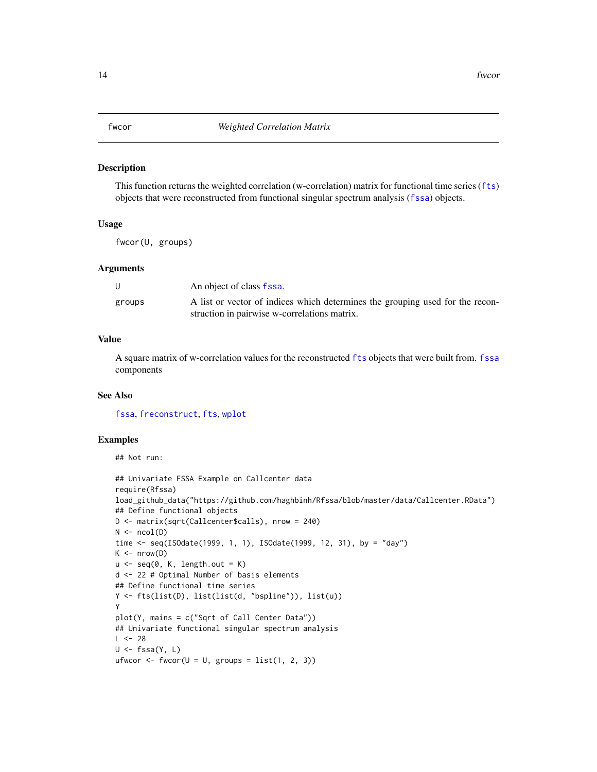#### <span id="page-13-1"></span><span id="page-13-0"></span>Description

This function returns the weighted correlation (w-correlation) matrix for functional time series ([fts](#page-11-1)) objects that were reconstructed from functional singular spectrum analysis ([fssa](#page-9-1)) objects.

## Usage

fwcor(U, groups)

### Arguments

| U      | An object of class fssa.                                                      |
|--------|-------------------------------------------------------------------------------|
| groups | A list or vector of indices which determines the grouping used for the recon- |
|        | struction in pairwise w-correlations matrix.                                  |

#### Value

A square matrix of w-correlation values for the reconstructed [fts](#page-11-1) objects that were built from. [fssa](#page-9-1) components

#### See Also

[fssa](#page-9-1), [freconstruct](#page-8-1), [fts](#page-11-1), [wplot](#page-22-1)

# Examples

## Not run:

```
## Univariate FSSA Example on Callcenter data
require(Rfssa)
load_github_data("https://github.com/haghbinh/Rfssa/blob/master/data/Callcenter.RData")
## Define functional objects
D <- matrix(sqrt(Callcenter$calls), nrow = 240)
N \leftarrow \text{ncol}(D)time <- seq(ISOdate(1999, 1, 1), ISOdate(1999, 12, 31), by = "day")
K \leftarrow nrow(D)u \leftarrow seq(0, K, length.out = K)d <- 22 # Optimal Number of basis elements
## Define functional time series
Y <- fts(list(D), list(list(d, "bspline")), list(u))
Y
plot(Y, mains = c("Sqrt of Call Center Data"))
## Univariate functional singular spectrum analysis
L < -28U \leftarrow fssa(Y, L)ufwcor \leq fwcor(U = U, groups = list(1, 2, 3))
```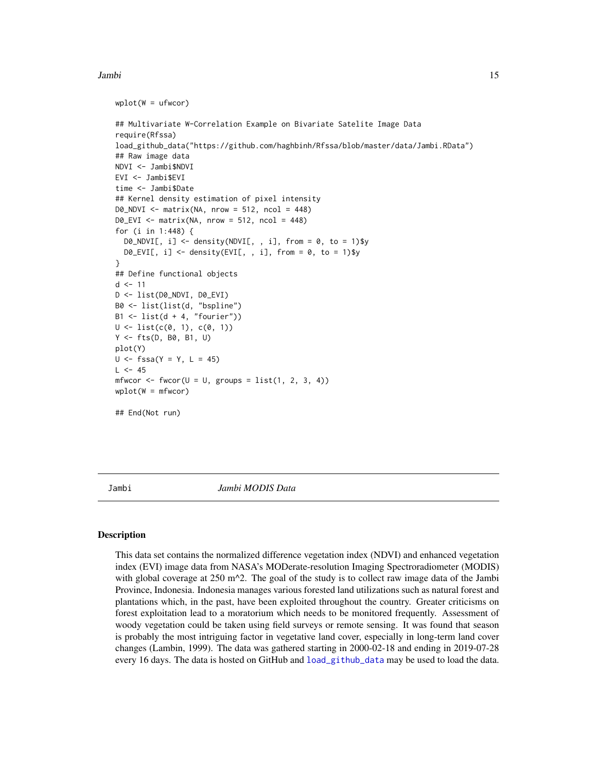#### <span id="page-14-0"></span>Jambi 15

```
wplot(W = ufwcor)## Multivariate W-Correlation Example on Bivariate Satelite Image Data
require(Rfssa)
load_github_data("https://github.com/haghbinh/Rfssa/blob/master/data/Jambi.RData")
## Raw image data
NDVI <- Jambi$NDVI
EVI <- Jambi$EVI
time <- Jambi$Date
## Kernel density estimation of pixel intensity
DØ_NDVI \leq -\text{matrix}(NA, nrow = 512, ncol = 448)DØ_EVI <- matrix(NA, nrow = 512, ncol = 448)
for (i in 1:448) {
 DØ_NDVI[, i] \leq - density(NDVI[, , i], from = 0, to = 1)$y
 DØ_EVI[, i] \leftarrow density(EVI[, , i], from = 0, to = 1)$y
}
## Define functional objects
d < -11D <- list(D0_NDVI, D0_EVI)
B0 <- list(list(d, "bspline")
B1 \leftarrow list(d + 4, "fourier"))
U \leftarrow \text{list}(c(0, 1), c(0, 1))Y <- fts(D, B0, B1, U)
plot(Y)
U \le - fssa(Y = Y, L = 45)
L < -45mfwcor \le fwcor(U = U, groups = list(1, 2, 3, 4))
wplot(W = mfwcor)## End(Not run)
```
<span id="page-14-1"></span>Jambi *Jambi MODIS Data*

#### Description

This data set contains the normalized difference vegetation index (NDVI) and enhanced vegetation index (EVI) image data from NASA's MODerate-resolution Imaging Spectroradiometer (MODIS) with global coverage at 250 m $^2$ . The goal of the study is to collect raw image data of the Jambi Province, Indonesia. Indonesia manages various forested land utilizations such as natural forest and plantations which, in the past, have been exploited throughout the country. Greater criticisms on forest exploitation lead to a moratorium which needs to be monitored frequently. Assessment of woody vegetation could be taken using field surveys or remote sensing. It was found that season is probably the most intriguing factor in vegetative land cover, especially in long-term land cover changes (Lambin, 1999). The data was gathered starting in 2000-02-18 and ending in 2019-07-28 every 16 days. The data is hosted on GitHub and [load\\_github\\_data](#page-16-1) may be used to load the data.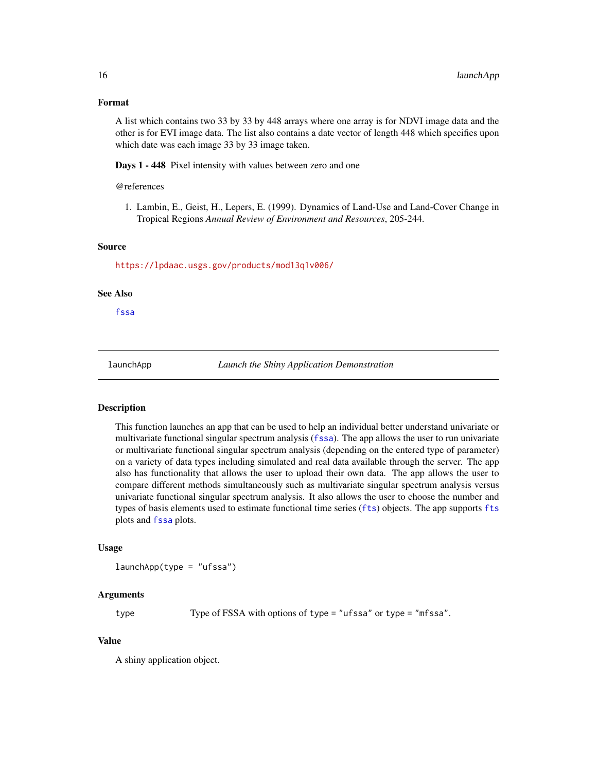#### <span id="page-15-0"></span>Format

A list which contains two 33 by 33 by 448 arrays where one array is for NDVI image data and the other is for EVI image data. The list also contains a date vector of length 448 which specifies upon which date was each image 33 by 33 image taken.

Days 1 - 448 Pixel intensity with values between zero and one

#### @references

1. Lambin, E., Geist, H., Lepers, E. (1999). Dynamics of Land-Use and Land-Cover Change in Tropical Regions *Annual Review of Environment and Resources*, 205-244.

#### Source

<https://lpdaac.usgs.gov/products/mod13q1v006/>

#### See Also

[fssa](#page-9-1)

<span id="page-15-1"></span>

launchApp *Launch the Shiny Application Demonstration*

### **Description**

This function launches an app that can be used to help an individual better understand univariate or multivariate functional singular spectrum analysis ([fssa](#page-9-1)). The app allows the user to run univariate or multivariate functional singular spectrum analysis (depending on the entered type of parameter) on a variety of data types including simulated and real data available through the server. The app also has functionality that allows the user to upload their own data. The app allows the user to compare different methods simultaneously such as multivariate singular spectrum analysis versus univariate functional singular spectrum analysis. It also allows the user to choose the number and types of basis elements used to estimate functional time series ([fts](#page-11-1)) objects. The app supports [fts](#page-11-1) plots and [fssa](#page-9-1) plots.

#### Usage

 $l$ aunchApp(type = "ufssa")

#### Arguments

type Type of FSSA with options of type = "ufssa" or type = "mfssa".

#### Value

A shiny application object.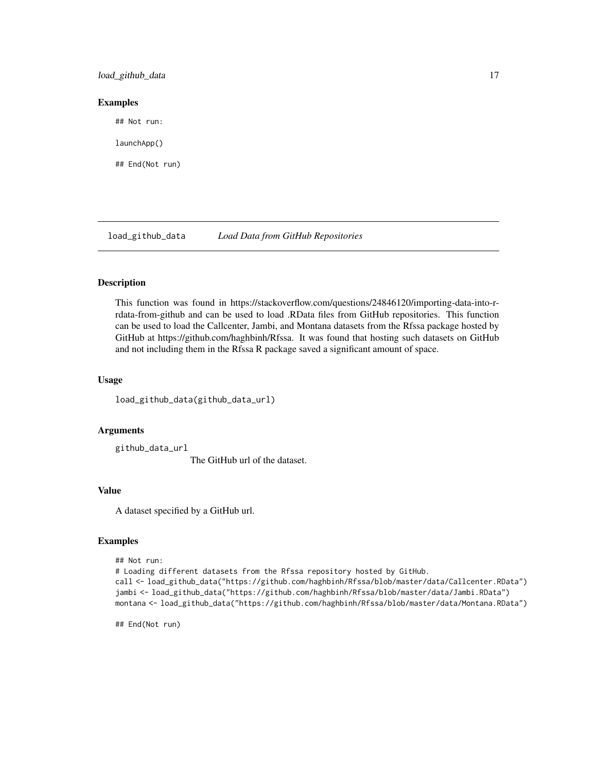<span id="page-16-0"></span>load\_github\_data 17

#### Examples

## Not run:

launchApp()

## End(Not run)

<span id="page-16-1"></span>load\_github\_data *Load Data from GitHub Repositories*

### Description

This function was found in https://stackoverflow.com/questions/24846120/importing-data-into-rrdata-from-github and can be used to load .RData files from GitHub repositories. This function can be used to load the Callcenter, Jambi, and Montana datasets from the Rfssa package hosted by GitHub at https://github.com/haghbinh/Rfssa. It was found that hosting such datasets on GitHub and not including them in the Rfssa R package saved a significant amount of space.

### Usage

load\_github\_data(github\_data\_url)

#### Arguments

github\_data\_url The GitHub url of the dataset.

#### Value

A dataset specified by a GitHub url.

### Examples

```
## Not run:
# Loading different datasets from the Rfssa repository hosted by GitHub.
call <- load_github_data("https://github.com/haghbinh/Rfssa/blob/master/data/Callcenter.RData")
jambi <- load_github_data("https://github.com/haghbinh/Rfssa/blob/master/data/Jambi.RData")
montana <- load_github_data("https://github.com/haghbinh/Rfssa/blob/master/data/Montana.RData")
```
## End(Not run)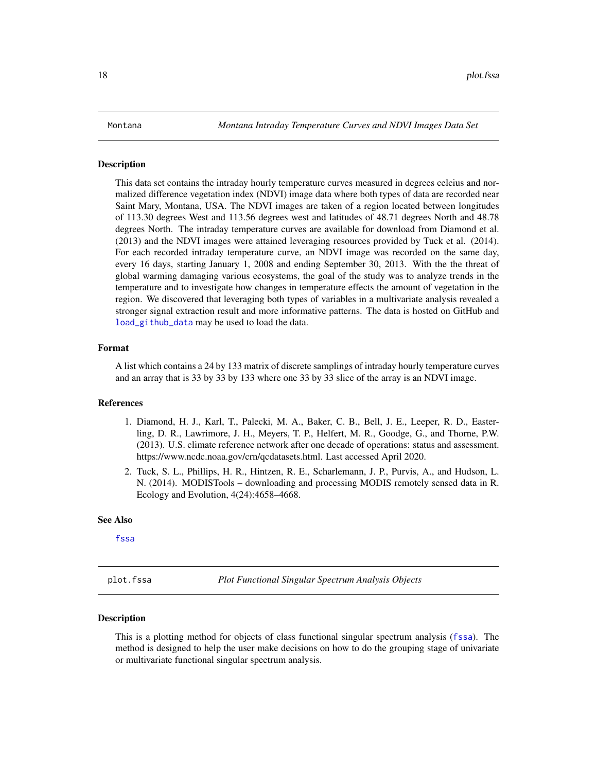#### <span id="page-17-1"></span><span id="page-17-0"></span>**Description**

This data set contains the intraday hourly temperature curves measured in degrees celcius and normalized difference vegetation index (NDVI) image data where both types of data are recorded near Saint Mary, Montana, USA. The NDVI images are taken of a region located between longitudes of 113.30 degrees West and 113.56 degrees west and latitudes of 48.71 degrees North and 48.78 degrees North. The intraday temperature curves are available for download from Diamond et al. (2013) and the NDVI images were attained leveraging resources provided by Tuck et al. (2014). For each recorded intraday temperature curve, an NDVI image was recorded on the same day, every 16 days, starting January 1, 2008 and ending September 30, 2013. With the the threat of global warming damaging various ecosystems, the goal of the study was to analyze trends in the temperature and to investigate how changes in temperature effects the amount of vegetation in the region. We discovered that leveraging both types of variables in a multivariate analysis revealed a stronger signal extraction result and more informative patterns. The data is hosted on GitHub and [load\\_github\\_data](#page-16-1) may be used to load the data.

#### Format

A list which contains a 24 by 133 matrix of discrete samplings of intraday hourly temperature curves and an array that is 33 by 33 by 133 where one 33 by 33 slice of the array is an NDVI image.

#### References

- 1. Diamond, H. J., Karl, T., Palecki, M. A., Baker, C. B., Bell, J. E., Leeper, R. D., Easterling, D. R., Lawrimore, J. H., Meyers, T. P., Helfert, M. R., Goodge, G., and Thorne, P.W. (2013). U.S. climate reference network after one decade of operations: status and assessment. https://www.ncdc.noaa.gov/crn/qcdatasets.html. Last accessed April 2020.
- 2. Tuck, S. L., Phillips, H. R., Hintzen, R. E., Scharlemann, J. P., Purvis, A., and Hudson, L. N. (2014). MODISTools – downloading and processing MODIS remotely sensed data in R. Ecology and Evolution, 4(24):4658–4668.

#### See Also

[fssa](#page-9-1)

<span id="page-17-2"></span>plot.fssa *Plot Functional Singular Spectrum Analysis Objects*

#### Description

This is a plotting method for objects of class functional singular spectrum analysis ([fssa](#page-9-1)). The method is designed to help the user make decisions on how to do the grouping stage of univariate or multivariate functional singular spectrum analysis.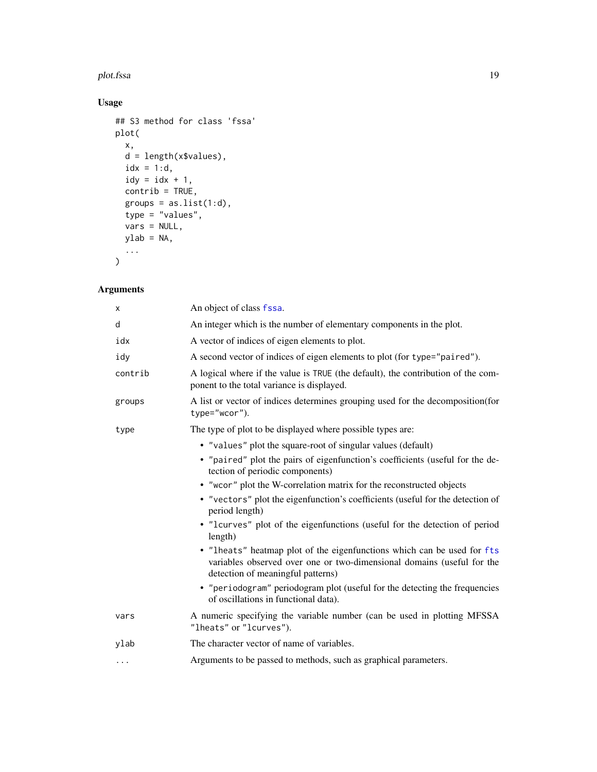#### <span id="page-18-0"></span>plot.fssa 19

# Usage

```
## S3 method for class 'fssa'
plot(
 x,
 d = length(x$values),
 idx = 1:d,idy = idx + 1,control = TRUE,groups = as.list(1:d),type = "values",
 vars = NULL,ylab = NA,
  ...
```
# $\mathcal{L}$

# Arguments

| An object of class fssa.                                                                                                                                                               |
|----------------------------------------------------------------------------------------------------------------------------------------------------------------------------------------|
| An integer which is the number of elementary components in the plot.                                                                                                                   |
| A vector of indices of eigen elements to plot.                                                                                                                                         |
| A second vector of indices of eigen elements to plot (for type="paired").                                                                                                              |
| A logical where if the value is TRUE (the default), the contribution of the com-<br>ponent to the total variance is displayed.                                                         |
| A list or vector of indices determines grouping used for the decomposition (for<br>type="wcor").                                                                                       |
| The type of plot to be displayed where possible types are:                                                                                                                             |
| • "values" plot the square-root of singular values (default)                                                                                                                           |
| • "paired" plot the pairs of eigenfunction's coefficients (useful for the de-<br>tection of periodic components)                                                                       |
| • "wcor" plot the W-correlation matrix for the reconstructed objects                                                                                                                   |
| • "vectors" plot the eigenfunction's coefficients (useful for the detection of<br>period length)                                                                                       |
| • "Icurves" plot of the eigenfunctions (useful for the detection of period<br>length)                                                                                                  |
| • "lheats" heatmap plot of the eigenfunctions which can be used for fts<br>variables observed over one or two-dimensional domains (useful for the<br>detection of meaningful patterns) |
| • "periodogram" periodogram plot (useful for the detecting the frequencies<br>of oscillations in functional data).                                                                     |
| A numeric specifying the variable number (can be used in plotting MFSSA)<br>"lheats" or "lcurves").                                                                                    |
| The character vector of name of variables.                                                                                                                                             |
| Arguments to be passed to methods, such as graphical parameters.                                                                                                                       |
|                                                                                                                                                                                        |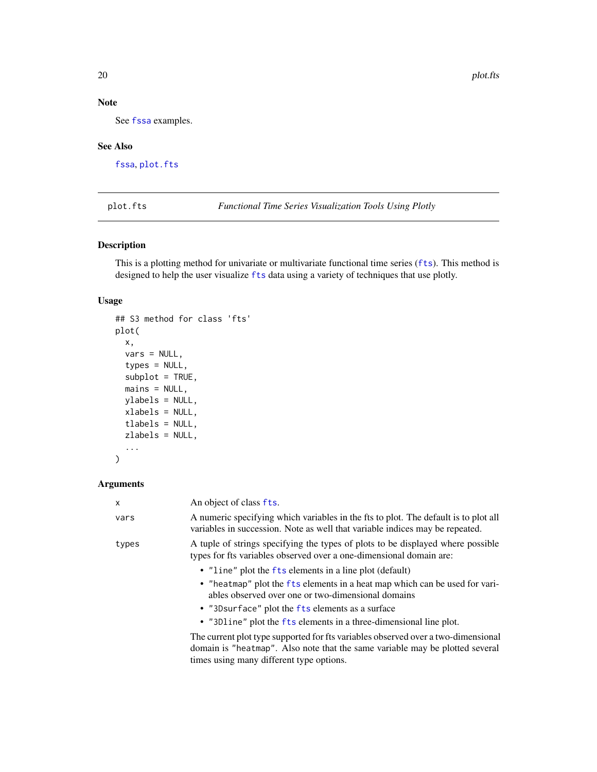# Note

See [fssa](#page-9-1) examples.

# See Also

[fssa](#page-9-1), [plot.fts](#page-19-1)

<span id="page-19-1"></span>plot.fts *Functional Time Series Visualization Tools Using Plotly*

# Description

This is a plotting method for univariate or multivariate functional time series ([fts](#page-11-1)). This method is designed to help the user visualize [fts](#page-11-1) data using a variety of techniques that use plotly.

#### Usage

```
## S3 method for class 'fts'
plot(
  x,
  vars = NULL,
  types = NULL,
  subplot = TRUE,
 mains = NULL,
 ylabels = NULL,
  xlabels = NULL,
  tlabels = NULL,
 zlabels = NULL,
  ...
)
```
# Arguments

| $\mathsf{x}$ | An object of class fts.                                                                                                                                                                                                                                                                                                  |
|--------------|--------------------------------------------------------------------------------------------------------------------------------------------------------------------------------------------------------------------------------------------------------------------------------------------------------------------------|
| vars         | A numeric specifying which variables in the fts to plot. The default is to plot all<br>variables in succession. Note as well that variable indices may be repeated.                                                                                                                                                      |
| types        | A tuple of strings specifying the types of plots to be displayed where possible<br>types for fts variables observed over a one-dimensional domain are:                                                                                                                                                                   |
|              | • "line" plot the fts elements in a line plot (default)<br>• "heatmap" plot the fts elements in a heat map which can be used for vari-<br>ables observed over one or two-dimensional domains<br>• "3D surface" plot the fts elements as a surface<br>• "3D1 ine" plot the fts elements in a three-dimensional line plot. |
|              | The current plot type supported for fts variables observed over a two-dimensional<br>domain is "heatmap". Also note that the same variable may be plotted several<br>times using many different type options.                                                                                                            |

<span id="page-19-0"></span>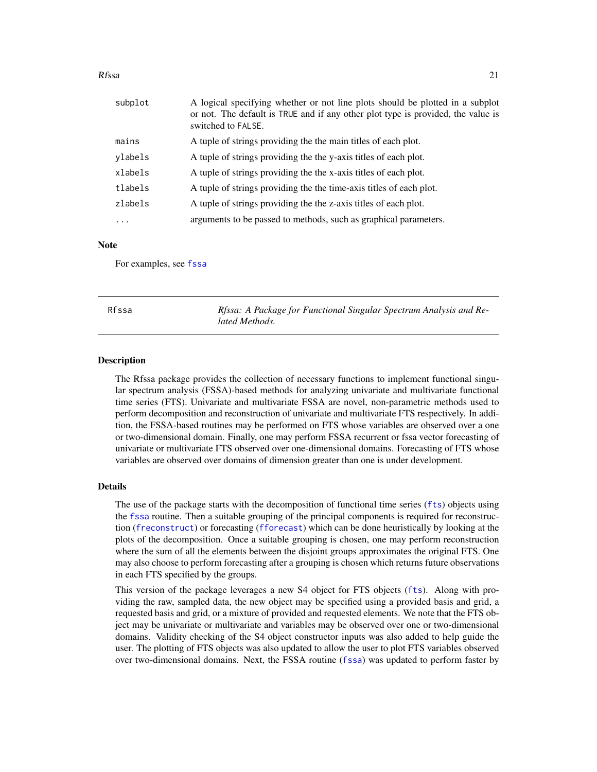#### <span id="page-20-0"></span>Rfssa 21

| subplot  | A logical specifying whether or not line plots should be plotted in a subplot<br>or not. The default is TRUE and if any other plot type is provided, the value is<br>switched to FALSE. |  |
|----------|-----------------------------------------------------------------------------------------------------------------------------------------------------------------------------------------|--|
| mains    | A tuple of strings providing the the main titles of each plot.                                                                                                                          |  |
| ylabels  | A tuple of strings providing the the y-axis titles of each plot.                                                                                                                        |  |
| xlabels  | A tuple of strings providing the the x-axis titles of each plot.                                                                                                                        |  |
| tlabels  | A tuple of strings providing the the time-axis titles of each plot.                                                                                                                     |  |
| zlabels  | A tuple of strings providing the the z-axis titles of each plot.                                                                                                                        |  |
| $\cdots$ | arguments to be passed to methods, such as graphical parameters.                                                                                                                        |  |

#### **Note**

For examples, see [fssa](#page-9-1)

Rfssa *Rfssa: A Package for Functional Singular Spectrum Analysis and Related Methods.*

#### Description

The Rfssa package provides the collection of necessary functions to implement functional singular spectrum analysis (FSSA)-based methods for analyzing univariate and multivariate functional time series (FTS). Univariate and multivariate FSSA are novel, non-parametric methods used to perform decomposition and reconstruction of univariate and multivariate FTS respectively. In addition, the FSSA-based routines may be performed on FTS whose variables are observed over a one or two-dimensional domain. Finally, one may perform FSSA recurrent or fssa vector forecasting of univariate or multivariate FTS observed over one-dimensional domains. Forecasting of FTS whose variables are observed over domains of dimension greater than one is under development.

#### Details

The use of the package starts with the decomposition of functional time series ([fts](#page-11-1)) objects using the [fssa](#page-9-1) routine. Then a suitable grouping of the principal components is required for reconstruction ([freconstruct](#page-8-1)) or forecasting ([fforecast](#page-6-1)) which can be done heuristically by looking at the plots of the decomposition. Once a suitable grouping is chosen, one may perform reconstruction where the sum of all the elements between the disjoint groups approximates the original FTS. One may also choose to perform forecasting after a grouping is chosen which returns future observations in each FTS specified by the groups.

This version of the package leverages a new S4 object for FTS objects ([fts](#page-11-1)). Along with providing the raw, sampled data, the new object may be specified using a provided basis and grid, a requested basis and grid, or a mixture of provided and requested elements. We note that the FTS object may be univariate or multivariate and variables may be observed over one or two-dimensional domains. Validity checking of the S4 object constructor inputs was also added to help guide the user. The plotting of FTS objects was also updated to allow the user to plot FTS variables observed over two-dimensional domains. Next, the FSSA routine ([fssa](#page-9-1)) was updated to perform faster by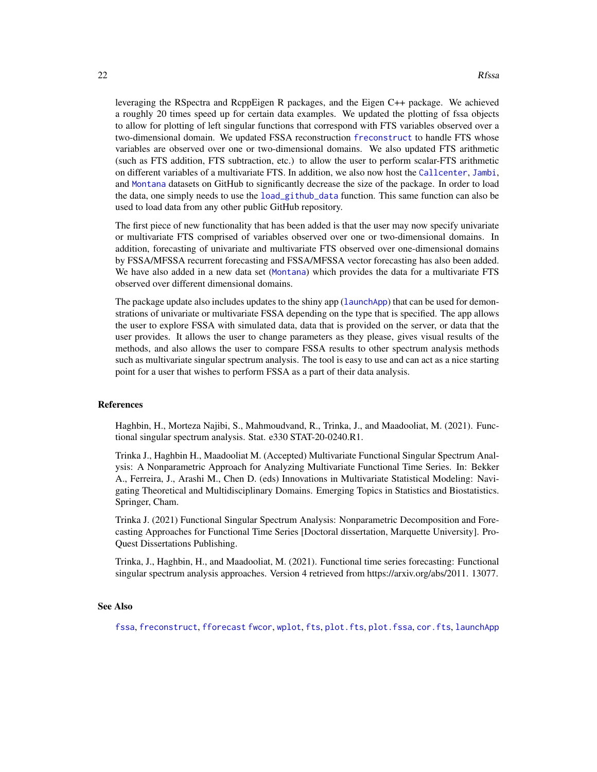<span id="page-21-0"></span>leveraging the RSpectra and RcppEigen R packages, and the Eigen C++ package. We achieved a roughly 20 times speed up for certain data examples. We updated the plotting of fssa objects to allow for plotting of left singular functions that correspond with FTS variables observed over a two-dimensional domain. We updated FSSA reconstruction [freconstruct](#page-8-1) to handle FTS whose variables are observed over one or two-dimensional domains. We also updated FTS arithmetic (such as FTS addition, FTS subtraction, etc.) to allow the user to perform scalar-FTS arithmetic on different variables of a multivariate FTS. In addition, we also now host the [Callcenter](#page-4-1), [Jambi](#page-14-1), and [Montana](#page-17-1) datasets on GitHub to significantly decrease the size of the package. In order to load the data, one simply needs to use the [load\\_github\\_data](#page-16-1) function. This same function can also be used to load data from any other public GitHub repository.

The first piece of new functionality that has been added is that the user may now specify univariate or multivariate FTS comprised of variables observed over one or two-dimensional domains. In addition, forecasting of univariate and multivariate FTS observed over one-dimensional domains by FSSA/MFSSA recurrent forecasting and FSSA/MFSSA vector forecasting has also been added. We have also added in a new data set ([Montana](#page-17-1)) which provides the data for a multivariate FTS observed over different dimensional domains.

The package update also includes updates to the shiny app ([launchApp](#page-15-1)) that can be used for demonstrations of univariate or multivariate FSSA depending on the type that is specified. The app allows the user to explore FSSA with simulated data, data that is provided on the server, or data that the user provides. It allows the user to change parameters as they please, gives visual results of the methods, and also allows the user to compare FSSA results to other spectrum analysis methods such as multivariate singular spectrum analysis. The tool is easy to use and can act as a nice starting point for a user that wishes to perform FSSA as a part of their data analysis.

#### References

Haghbin, H., Morteza Najibi, S., Mahmoudvand, R., Trinka, J., and Maadooliat, M. (2021). Functional singular spectrum analysis. Stat. e330 STAT-20-0240.R1.

Trinka J., Haghbin H., Maadooliat M. (Accepted) Multivariate Functional Singular Spectrum Analysis: A Nonparametric Approach for Analyzing Multivariate Functional Time Series. In: Bekker A., Ferreira, J., Arashi M., Chen D. (eds) Innovations in Multivariate Statistical Modeling: Navigating Theoretical and Multidisciplinary Domains. Emerging Topics in Statistics and Biostatistics. Springer, Cham.

Trinka J. (2021) Functional Singular Spectrum Analysis: Nonparametric Decomposition and Forecasting Approaches for Functional Time Series [Doctoral dissertation, Marquette University]. Pro-Quest Dissertations Publishing.

Trinka, J., Haghbin, H., and Maadooliat, M. (2021). Functional time series forecasting: Functional singular spectrum analysis approaches. Version 4 retrieved from https://arxiv.org/abs/2011. 13077.

#### See Also

[fssa](#page-9-1), [freconstruct](#page-8-1), [fforecast](#page-6-1) [fwcor](#page-13-1), [wplot](#page-22-1), [fts](#page-11-1), [plot.fts](#page-19-1), [plot.fssa](#page-17-2), [cor.fts](#page-5-1), [launchApp](#page-15-1)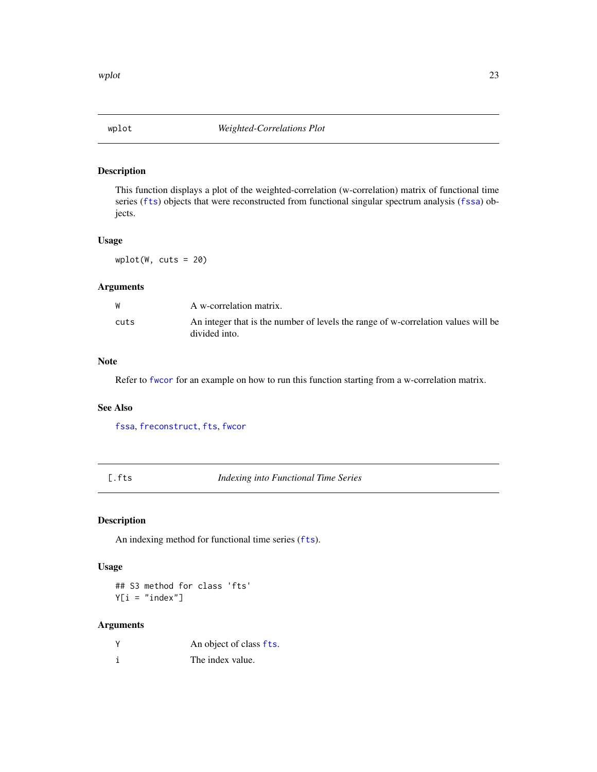<span id="page-22-1"></span><span id="page-22-0"></span>

# Description

This function displays a plot of the weighted-correlation (w-correlation) matrix of functional time series ([fts](#page-11-1)) objects that were reconstructed from functional singular spectrum analysis ([fssa](#page-9-1)) objects.

#### Usage

 $wplot(W, cuts = 20)$ 

# Arguments

| W    | A w-correlation matrix.                                                                            |
|------|----------------------------------------------------------------------------------------------------|
| cuts | An integer that is the number of levels the range of w-correlation values will be<br>divided into. |

### Note

Refer to [fwcor](#page-13-1) for an example on how to run this function starting from a w-correlation matrix.

# See Also

[fssa](#page-9-1), [freconstruct](#page-8-1), [fts](#page-11-1), [fwcor](#page-13-1)

[.fts *Indexing into Functional Time Series*

# Description

An indexing method for functional time series ([fts](#page-11-1)).

#### Usage

## S3 method for class 'fts'  $Y[i = "index"]$ 

#### Arguments

| <b>Y</b> | An object of class fts. |
|----------|-------------------------|
|          | The index value.        |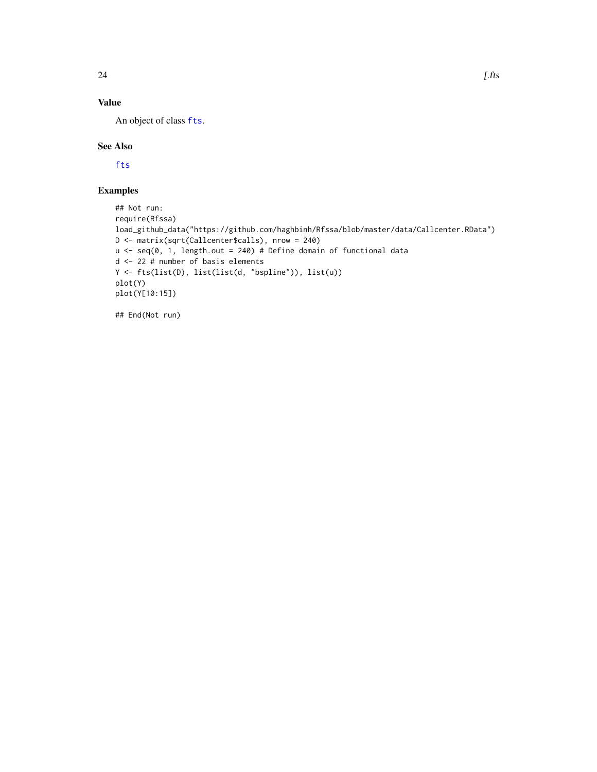# <span id="page-23-0"></span>Value

An object of class [fts](#page-11-1).

#### See Also

[fts](#page-11-1)

# Examples

```
## Not run:
require(Rfssa)
load_github_data("https://github.com/haghbinh/Rfssa/blob/master/data/Callcenter.RData")
D <- matrix(sqrt(Callcenter$calls), nrow = 240)
u \leq - seq(0, 1, length.out = 240) # Define domain of functional data
d <- 22 # number of basis elements
Y <- fts(list(D), list(list(d, "bspline")), list(u))
plot(Y)
plot(Y[10:15])
```
## End(Not run)